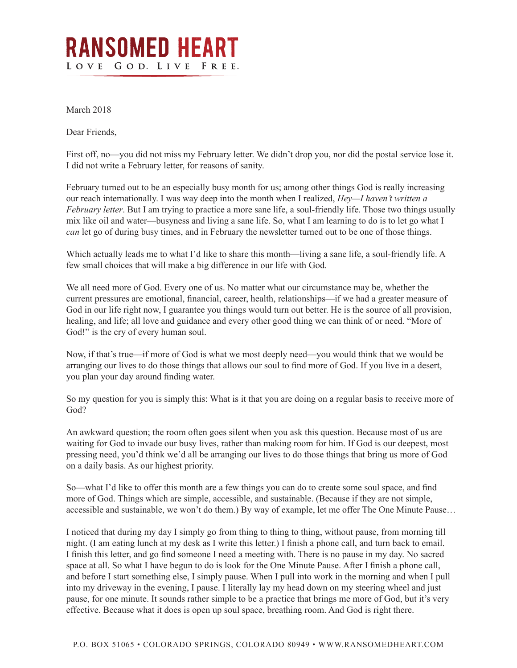## **RANSOMED HEART** LOVE GOD. LIVE FREE.

March 2018

Dear Friends,

First off, no—you did not miss my February letter. We didn't drop you, nor did the postal service lose it. I did not write a February letter, for reasons of sanity.

February turned out to be an especially busy month for us; among other things God is really increasing our reach internationally. I was way deep into the month when I realized, *Hey—I haven't written a February letter*. But I am trying to practice a more sane life, a soul-friendly life. Those two things usually mix like oil and water—busyness and living a sane life. So, what I am learning to do is to let go what I *can* let go of during busy times, and in February the newsletter turned out to be one of those things.

Which actually leads me to what I'd like to share this month—living a sane life, a soul-friendly life. A few small choices that will make a big difference in our life with God.

We all need more of God. Every one of us. No matter what our circumstance may be, whether the current pressures are emotional, financial, career, health, relationships—if we had a greater measure of God in our life right now, I guarantee you things would turn out better. He is the source of all provision, healing, and life; all love and guidance and every other good thing we can think of or need. "More of God!" is the cry of every human soul.

Now, if that's true—if more of God is what we most deeply need—you would think that we would be arranging our lives to do those things that allows our soul to find more of God. If you live in a desert, you plan your day around finding water.

So my question for you is simply this: What is it that you are doing on a regular basis to receive more of God?

An awkward question; the room often goes silent when you ask this question. Because most of us are waiting for God to invade our busy lives, rather than making room for him. If God is our deepest, most pressing need, you'd think we'd all be arranging our lives to do those things that bring us more of God on a daily basis. As our highest priority.

So—what I'd like to offer this month are a few things you can do to create some soul space, and find more of God. Things which are simple, accessible, and sustainable. (Because if they are not simple, accessible and sustainable, we won't do them.) By way of example, let me offer The One Minute Pause…

I noticed that during my day I simply go from thing to thing to thing, without pause, from morning till night. (I am eating lunch at my desk as I write this letter.) I finish a phone call, and turn back to email. I finish this letter, and go find someone I need a meeting with. There is no pause in my day. No sacred space at all. So what I have begun to do is look for the One Minute Pause. After I finish a phone call, and before I start something else, I simply pause. When I pull into work in the morning and when I pull into my driveway in the evening, I pause. I literally lay my head down on my steering wheel and just pause, for one minute. It sounds rather simple to be a practice that brings me more of God, but it's very effective. Because what it does is open up soul space, breathing room. And God is right there.